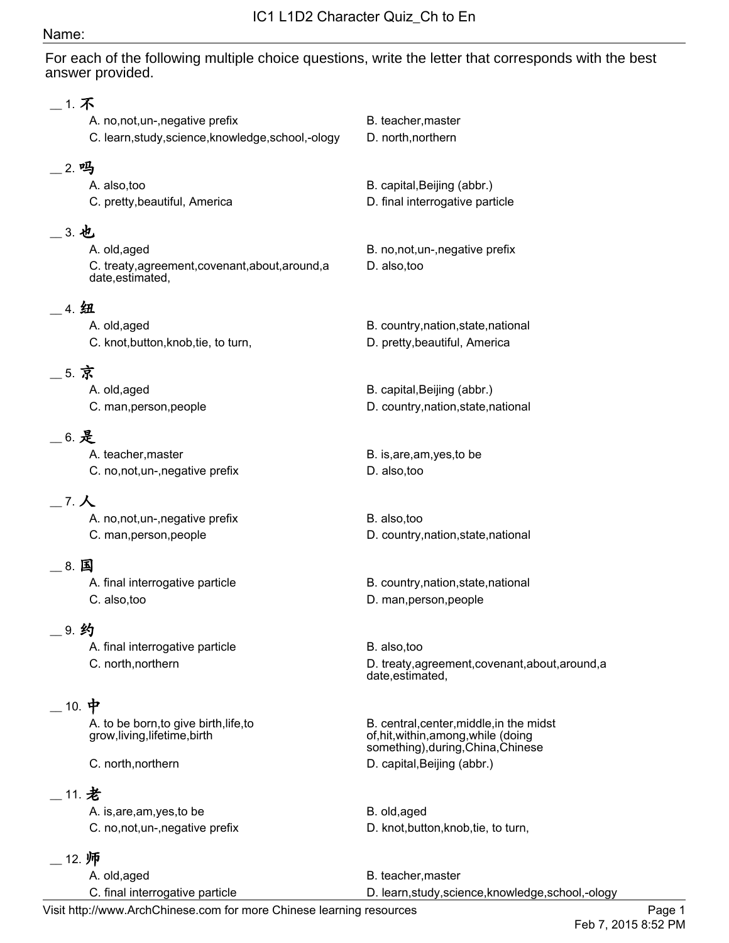## Name:

For each of the following multiple choice questions, write the letter that corresponds with the best answer provided.

| 1. 不                                                |                                                  |
|-----------------------------------------------------|--------------------------------------------------|
| A. no, not, un-, negative prefix                    | B. teacher, master                               |
| C. learn, study, science, knowledge, school, -ology | D. north, northern                               |
|                                                     |                                                  |
| 2. 吗                                                |                                                  |
| A. also, too                                        | B. capital, Beijing (abbr.)                      |
| C. pretty, beautiful, America                       | D. final interrogative particle                  |
| 3. 也                                                |                                                  |
| A. old, aged                                        | B. no, not, un-, negative prefix                 |
| C. treaty, agreement, covenant, about, around, a    | D. also, too                                     |
| date, estimated,                                    |                                                  |
|                                                     |                                                  |
| 4. 纽                                                |                                                  |
| A. old, aged                                        | B. country, nation, state, national              |
| C. knot, button, knob, tie, to turn,                | D. pretty, beautiful, America                    |
| _ 5. 京                                              |                                                  |
| A. old, aged                                        | B. capital, Beijing (abbr.)                      |
| C. man, person, people                              | D. country, nation, state, national              |
|                                                     |                                                  |
| _ 6. 是                                              |                                                  |
| A. teacher, master                                  | B. is, are, am, yes, to be                       |
| C. no, not, un-, negative prefix                    | D. also, too                                     |
|                                                     |                                                  |
| $7. \lambda$                                        |                                                  |
| A. no, not, un-, negative prefix                    | B. also, too                                     |
| C. man, person, people                              | D. country, nation, state, national              |
| - 8. 国                                              |                                                  |
| A. final interrogative particle                     | B. country, nation, state, national              |
| C. also, too                                        | D. man, person, people                           |
|                                                     |                                                  |
| _9. 约                                               |                                                  |
| A. final interrogative particle                     | B. also, too                                     |
| C. north, northern                                  | D. treaty, agreement, covenant, about, around, a |
|                                                     | date, estimated,                                 |
| $\_$ 10. 中                                          |                                                  |
| A. to be born, to give birth, life, to              | B. central, center, middle, in the midst         |
| grow, living, lifetime, birth                       | of, hit, within, among, while (doing             |
|                                                     | something), during, China, Chinese               |
| C. north, northern                                  | D. capital, Beijing (abbr.)                      |
| __ 11. 老                                            |                                                  |
| A. is, are, am, yes, to be                          | B. old, aged                                     |
| C. no, not, un-, negative prefix                    | D. knot, button, knob, tie, to turn,             |
|                                                     |                                                  |
| 12. 师                                               |                                                  |

A. old,aged B. teacher, master C. final interrogative particle **D. learn,study,science,knowledge,school,-ology**